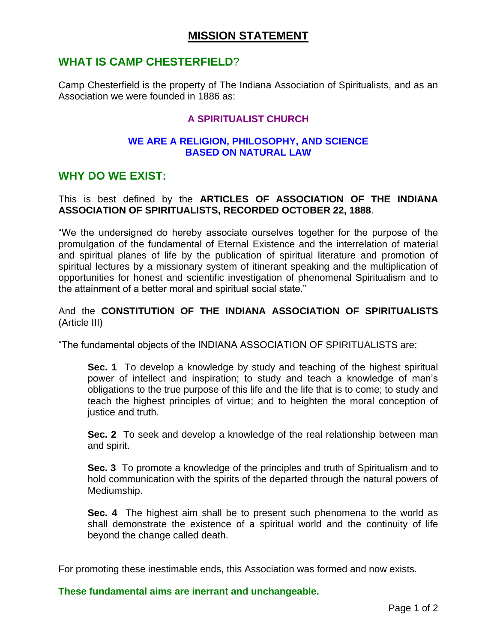## **MISSION STATEMENT**

## **WHAT IS CAMP CHESTERFIELD**?

Camp Chesterfield is the property of The Indiana Association of Spiritualists, and as an Association we were founded in 1886 as:

### **A SPIRITUALIST CHURCH**

#### **WE ARE A RELIGION, PHILOSOPHY, AND SCIENCE BASED ON NATURAL LAW**

## **WHY DO WE EXIST:**

#### This is best defined by the **ARTICLES OF ASSOCIATION OF THE INDIANA ASSOCIATION OF SPIRITUALISTS, RECORDED OCTOBER 22, 1888**.

"We the undersigned do hereby associate ourselves together for the purpose of the promulgation of the fundamental of Eternal Existence and the interrelation of material and spiritual planes of life by the publication of spiritual literature and promotion of spiritual lectures by a missionary system of itinerant speaking and the multiplication of opportunities for honest and scientific investigation of phenomenal Spiritualism and to the attainment of a better moral and spiritual social state."

#### And the **CONSTITUTION OF THE INDIANA ASSOCIATION OF SPIRITUALISTS** (Article III)

"The fundamental objects of the INDIANA ASSOCIATION OF SPIRITUALISTS are:

**Sec. 1** To develop a knowledge by study and teaching of the highest spiritual power of intellect and inspiration; to study and teach a knowledge of man's obligations to the true purpose of this life and the life that is to come; to study and teach the highest principles of virtue; and to heighten the moral conception of justice and truth.

**Sec. 2** To seek and develop a knowledge of the real relationship between man and spirit.

**Sec. 3** To promote a knowledge of the principles and truth of Spiritualism and to hold communication with the spirits of the departed through the natural powers of Mediumship.

**Sec. 4** The highest aim shall be to present such phenomena to the world as shall demonstrate the existence of a spiritual world and the continuity of life beyond the change called death.

For promoting these inestimable ends, this Association was formed and now exists.

**These fundamental aims are inerrant and unchangeable.**